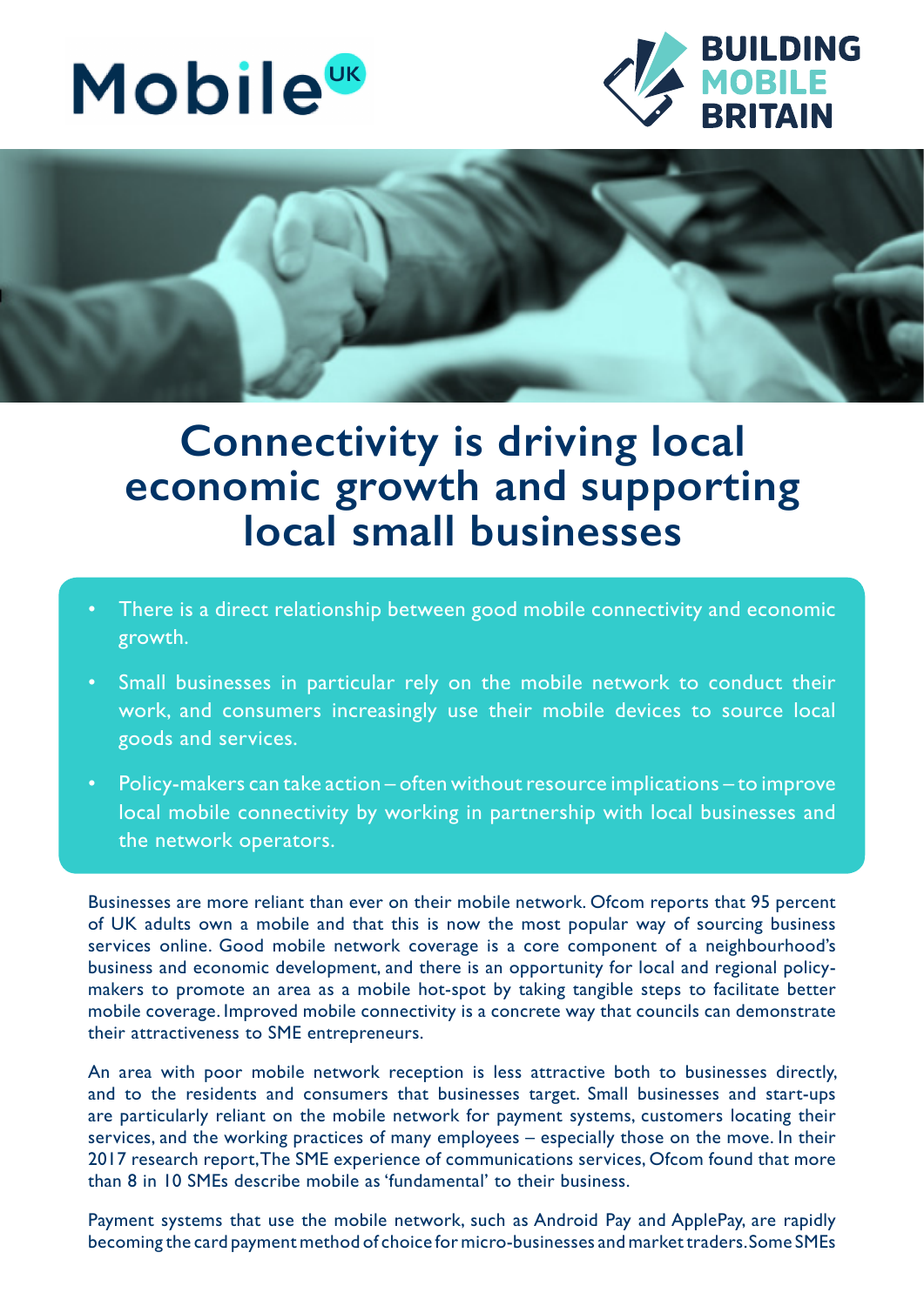





## **Connectivity is driving local economic growth and supporting local small businesses**

- There is a direct relationship between good mobile connectivity and economic growth.
- Small businesses in particular rely on the mobile network to conduct their work, and consumers increasingly use their mobile devices to source local goods and services.
- Policy-makers can take action often without resource implications to improve local mobile connectivity by working in partnership with local businesses and the network operators.

Businesses are more reliant than ever on their mobile network. Ofcom reports that 95 percent of UK adults own a mobile and that this is now the most popular way of sourcing business services online. Good mobile network coverage is a core component of a neighbourhood's business and economic development, and there is an opportunity for local and regional policymakers to promote an area as a mobile hot-spot by taking tangible steps to facilitate better mobile coverage. Improved mobile connectivity is a concrete way that councils can demonstrate their attractiveness to SME entrepreneurs.

An area with poor mobile network reception is less attractive both to businesses directly, and to the residents and consumers that businesses target. Small businesses and start-ups are particularly reliant on the mobile network for payment systems, customers locating their services, and the working practices of many employees – especially those on the move. In their 2017 research report, The SME experience of communications services, Ofcom found that more than 8 in 10 SMEs describe mobile as 'fundamental' to their business.

Payment systems that use the mobile network, such as Android Pay and ApplePay, are rapidly becoming the card payment method of choice for micro-businesses and market traders. Some SMEs